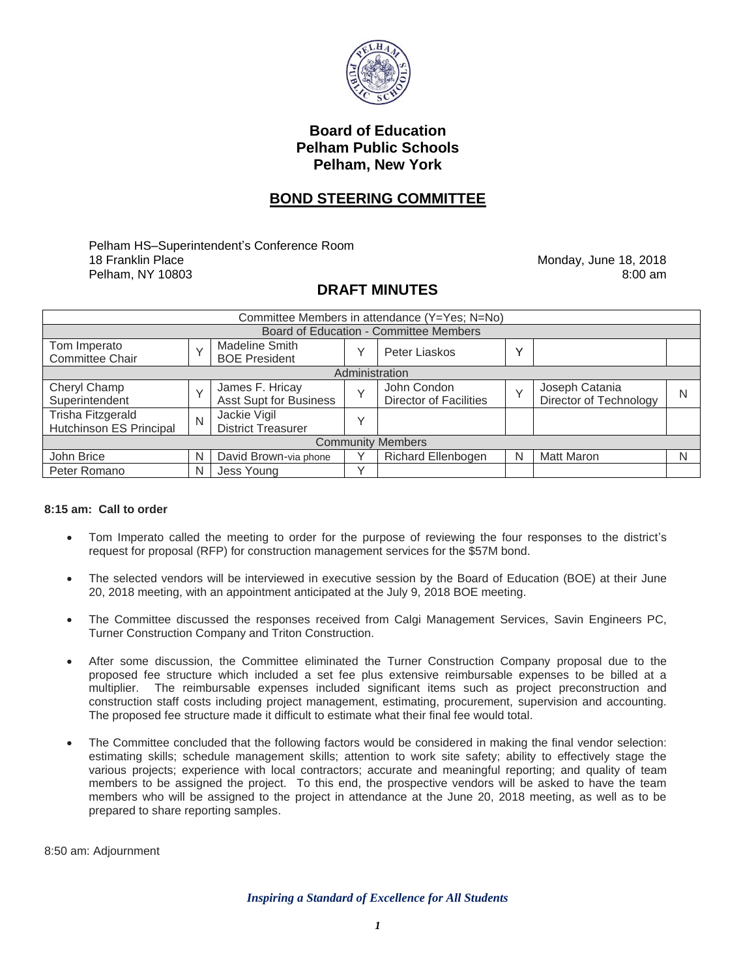

## **Board of Education Pelham Public Schools Pelham, New York**

## **BOND STEERING COMMITTEE**

Pelham HS–Superintendent's Conference Room 18 Franklin Place Pelham, NY 10803

Monday, June 18, 2018 8:00 am

## **DRAFT MINUTES**

| Committee Members in attendance (Y=Yes; N=No) |              |                                               |              |                                              |              |                                          |   |
|-----------------------------------------------|--------------|-----------------------------------------------|--------------|----------------------------------------------|--------------|------------------------------------------|---|
| Board of Education - Committee Members        |              |                                               |              |                                              |              |                                          |   |
| Tom Imperato<br><b>Committee Chair</b>        | $\checkmark$ | <b>Madeline Smith</b><br><b>BOE President</b> |              | Peter Liaskos                                | $\checkmark$ |                                          |   |
| Administration                                |              |                                               |              |                                              |              |                                          |   |
| Cheryl Champ<br>Superintendent                | $\checkmark$ | James F. Hricay<br>Asst Supt for Business     | $\checkmark$ | John Condon<br><b>Director of Facilities</b> | $\vee$       | Joseph Catania<br>Director of Technology | N |
| Trisha Fitzgerald<br>Hutchinson ES Principal  | N            | Jackie Vigil<br><b>District Treasurer</b>     | $\checkmark$ |                                              |              |                                          |   |
| <b>Community Members</b>                      |              |                                               |              |                                              |              |                                          |   |
| John Brice                                    | N            | David Brown-via phone                         |              | <b>Richard Ellenbogen</b>                    | N            | <b>Matt Maron</b>                        | N |
| Peter Romano                                  | N            | Jess Young                                    | $\checkmark$ |                                              |              |                                          |   |

## **8:15 am: Call to order**

- Tom Imperato called the meeting to order for the purpose of reviewing the four responses to the district's request for proposal (RFP) for construction management services for the \$57M bond.
- The selected vendors will be interviewed in executive session by the Board of Education (BOE) at their June 20, 2018 meeting, with an appointment anticipated at the July 9, 2018 BOE meeting.
- The Committee discussed the responses received from Calgi Management Services, Savin Engineers PC, Turner Construction Company and Triton Construction.
- After some discussion, the Committee eliminated the Turner Construction Company proposal due to the proposed fee structure which included a set fee plus extensive reimbursable expenses to be billed at a multiplier. The reimbursable expenses included significant items such as project preconstruction and construction staff costs including project management, estimating, procurement, supervision and accounting. The proposed fee structure made it difficult to estimate what their final fee would total.
- The Committee concluded that the following factors would be considered in making the final vendor selection: estimating skills; schedule management skills; attention to work site safety; ability to effectively stage the various projects; experience with local contractors; accurate and meaningful reporting; and quality of team members to be assigned the project. To this end, the prospective vendors will be asked to have the team members who will be assigned to the project in attendance at the June 20, 2018 meeting, as well as to be prepared to share reporting samples.

8:50 am: Adjournment

*Inspiring a Standard of Excellence for All Students*